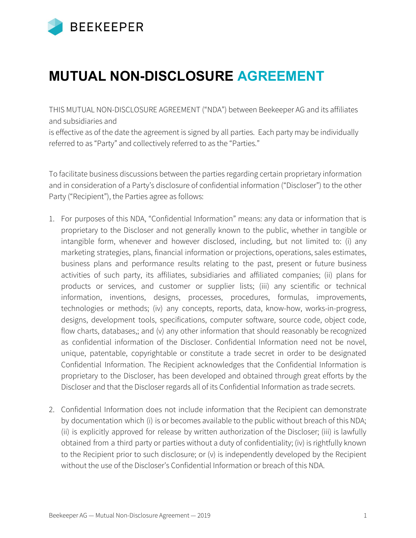

## **MUTUAL NON-DISCLOSURE AGREEMENT**

THIS MUTUAL NON-DISCLOSURE AGREEMENT ("NDA") between Beekeeper AG and its affiliates and subsidiaries and

is effective as of the date the agreement is signed by all parties. Each party may be individually referred to as "Party" and collectively referred to as the "Parties."

To facilitate business discussions between the parties regarding certain proprietary information and in consideration of a Party's disclosure of confidential information ("Discloser") to the other Party ("Recipient"), the Parties agree as follows:

- 1. For purposes of this NDA, "Confidential Information" means: any data or information that is proprietary to the Discloser and not generally known to the public, whether in tangible or intangible form, whenever and however disclosed, including, but not limited to: (i) any marketing strategies, plans, financial information or projections, operations, sales estimates, business plans and performance results relating to the past, present or future business activities of such party, its affiliates, subsidiaries and affiliated companies; (ii) plans for products or services, and customer or supplier lists; (iii) any scientific or technical information, inventions, designs, processes, procedures, formulas, improvements, technologies or methods; (iv) any concepts, reports, data, know-how, works-in-progress, designs, development tools, specifications, computer software, source code, object code, flow charts, databases,; and (v) any other information that should reasonably be recognized as confidential information of the Discloser. Confidential Information need not be novel, unique, patentable, copyrightable or constitute a trade secret in order to be designated Confidential Information. The Recipient acknowledges that the Confidential Information is proprietary to the Discloser, has been developed and obtained through great efforts by the Discloser and that the Discloser regards all of its Confidential Information as trade secrets.
- 2. Confidential Information does not include information that the Recipient can demonstrate by documentation which (i) is or becomes available to the public without breach of this NDA; (ii) is explicitly approved for release by written authorization of the Discloser; (iii) is lawfully obtained from a third party or parties without a duty of confidentiality; (iv) is rightfully known to the Recipient prior to such disclosure; or (v) is independently developed by the Recipient without the use of the Discloser's Confidential Information or breach of this NDA.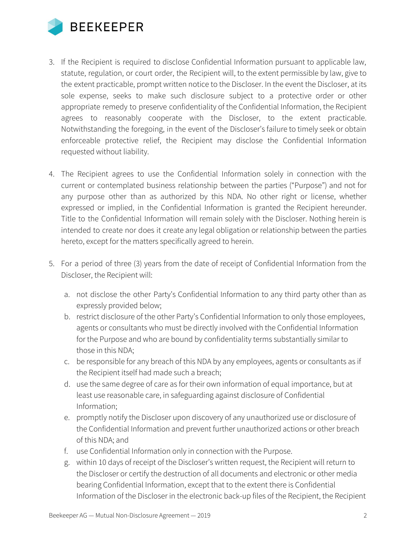

- 3. If the Recipient is required to disclose Confidential Information pursuant to applicable law, statute, regulation, or court order, the Recipient will, to the extent permissible by law, give to the extent practicable, prompt written notice to the Discloser. In the event the Discloser, at its sole expense, seeks to make such disclosure subject to a protective order or other appropriate remedy to preserve confidentiality of the Confidential Information, the Recipient agrees to reasonably cooperate with the Discloser, to the extent practicable. Notwithstanding the foregoing, in the event of the Discloser's failure to timely seek or obtain enforceable protective relief, the Recipient may disclose the Confidential Information requested without liability.
- 4. The Recipient agrees to use the Confidential Information solely in connection with the current or contemplated business relationship between the parties ("Purpose") and not for any purpose other than as authorized by this NDA. No other right or license, whether expressed or implied, in the Confidential Information is granted the Recipient hereunder. Title to the Confidential Information will remain solely with the Discloser. Nothing herein is intended to create nor does it create any legal obligation or relationship between the parties hereto, except for the matters specifically agreed to herein.
- 5. For a period of three (3) years from the date of receipt of Confidential Information from the Discloser, the Recipient will:
	- a. not disclose the other Party's Confidential Information to any third party other than as expressly provided below;
	- b. restrict disclosure of the other Party's Confidential Information to only those employees, agents or consultants who must be directly involved with the Confidential Information for the Purpose and who are bound by confidentiality terms substantially similar to those in this NDA;
	- c. be responsible for any breach of this NDA by any employees, agents or consultants as if the Recipient itself had made such a breach;
	- d. use the same degree of care as for their own information of equal importance, but at least use reasonable care, in safeguarding against disclosure of Confidential Information;
	- e. promptly notify the Discloser upon discovery of any unauthorized use or disclosure of the Confidential Information and prevent further unauthorized actions or other breach of this NDA; and
	- f. use Confidential Information only in connection with the Purpose.
	- g. within 10 days of receipt of the Discloser's written request, the Recipient will return to the Discloser or certify the destruction of all documents and electronic or other media bearing Confidential Information, except that to the extent there is Confidential Information of the Discloser in the electronic back-up files of the Recipient, the Recipient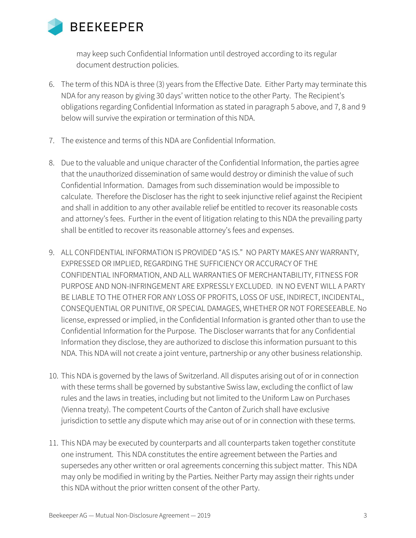

may keep such Confidential Information until destroyed according to its regular document destruction policies.

- 6. The term of this NDA is three (3) years from the Effective Date. Either Party may terminate this NDA for any reason by giving 30 days' written notice to the other Party. The Recipient's obligations regarding Confidential Information as stated in paragraph 5 above, and 7, 8 and 9 below will survive the expiration or termination of this NDA.
- 7. The existence and terms of this NDA are Confidential Information.
- 8. Due to the valuable and unique character of the Confidential Information, the parties agree that the unauthorized dissemination of same would destroy or diminish the value of such Confidential Information. Damages from such dissemination would be impossible to calculate. Therefore the Discloser has the right to seek injunctive relief against the Recipient and shall in addition to any other available relief be entitled to recover its reasonable costs and attorney's fees. Further in the event of litigation relating to this NDA the prevailing party shall be entitled to recover its reasonable attorney's fees and expenses.
- 9. ALL CONFIDENTIAL INFORMATION IS PROVIDED "AS IS." NO PARTY MAKES ANY WARRANTY, EXPRESSED OR IMPLIED, REGARDING THE SUFFICIENCY OR ACCURACY OF THE CONFIDENTIAL INFORMATION, AND ALL WARRANTIES OF MERCHANTABILITY, FITNESS FOR PURPOSE AND NON-INFRINGEMENT ARE EXPRESSLY EXCLUDED. IN NO EVENT WILL A PARTY BE LIABLE TO THE OTHER FOR ANY LOSS OF PROFITS, LOSS OF USE, INDIRECT, INCIDENTAL, CONSEQUENTIAL OR PUNITIVE, OR SPECIAL DAMAGES, WHETHER OR NOT FORESEEABLE. No license, expressed or implied, in the Confidential Information is granted other than to use the Confidential Information for the Purpose. The Discloser warrants that for any Confidential Information they disclose, they are authorized to disclose this information pursuant to this NDA. This NDA will not create a joint venture, partnership or any other business relationship.
- 10. This NDA is governed by the laws of Switzerland. All disputes arising out of or in connection with these terms shall be governed by substantive Swiss law, excluding the conflict of law rules and the laws in treaties, including but not limited to the Uniform Law on Purchases (Vienna treaty). The competent Courts of the Canton of Zurich shall have exclusive jurisdiction to settle any dispute which may arise out of or in connection with these terms.
- 11. This NDA may be executed by counterparts and all counterparts taken together constitute one instrument. This NDA constitutes the entire agreement between the Parties and supersedes any other written or oral agreements concerning this subject matter. This NDA may only be modified in writing by the Parties. Neither Party may assign their rights under this NDA without the prior written consent of the other Party.